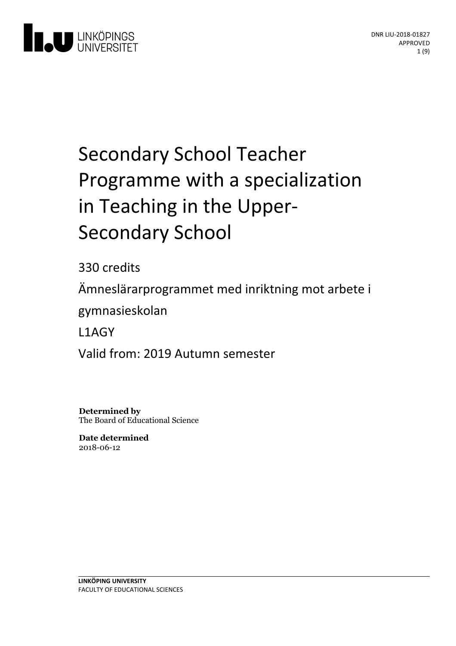

# Secondary School Teacher Programme with a specialization in Teaching in the Upper-<br>Secondary School

330 credits

Ämneslärarprogrammet med inriktning motarbete i

gymnasieskolan

L1AGY

Valid from: 2019 Autumn semester

**Determined by** The Board of Educational Science

**Date determined** 2018-06-12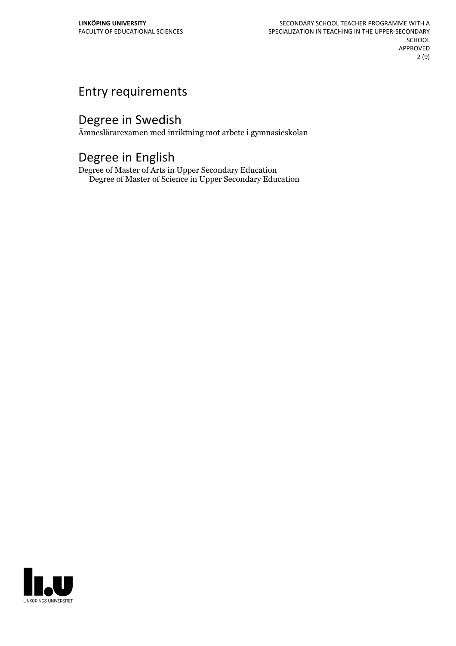# Entry requirements

# Degree in Swedish

Ämneslärarexamen med inriktning mot arbete i gymnasieskolan

# Degree in English

Degree of Master of Arts in Upper Secondary Education Degree of Master of Science in Upper Secondary Education

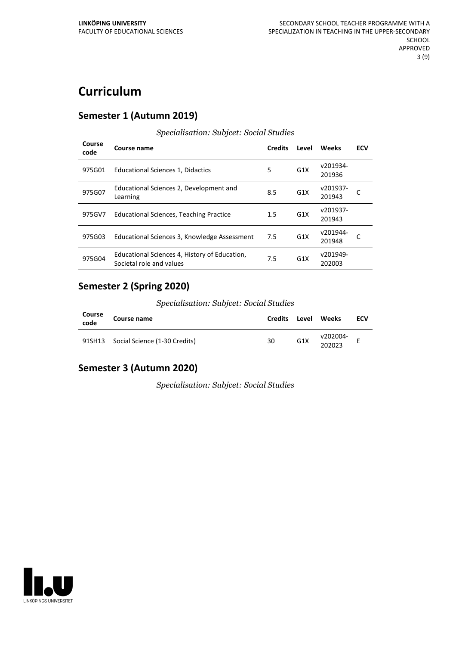# **Curriculum**

#### **Semester 1 (Autumn 2019)**

| Course<br>code | Course name                                                               | <b>Credits</b> | Level            | Weeks              | <b>ECV</b> |
|----------------|---------------------------------------------------------------------------|----------------|------------------|--------------------|------------|
| 975G01         | Educational Sciences 1, Didactics                                         | 5              | G <sub>1</sub> X | v201934-<br>201936 |            |
| 975G07         | Educational Sciences 2, Development and<br>Learning                       | 8.5            | G <sub>1</sub> X | v201937-<br>201943 |            |
| 975GV7         | <b>Educational Sciences, Teaching Practice</b>                            | 1.5            | G <sub>1</sub> X | v201937-<br>201943 |            |
| 975G03         | Educational Sciences 3, Knowledge Assessment                              | 7.5            | G <sub>1</sub> X | v201944-<br>201948 |            |
| 975G04         | Educational Sciences 4, History of Education,<br>Societal role and values | 7.5            | G <sub>1</sub> X | v201949-<br>202003 |            |

#### *Specialisation: Subjcet: Social Studies*

#### **Semester 2 (Spring 2020)**

*Specialisation: Subjcet: Social Studies*

| Course<br>code | Course name                          | <b>Credits</b> | Level            | Weeks              | ECV |
|----------------|--------------------------------------|----------------|------------------|--------------------|-----|
|                | 91SH13 Social Science (1-30 Credits) | 30             | G <sub>1</sub> X | v202004-<br>202023 |     |

## **Semester 3 (Autumn 2020)**

*Specialisation: Subjcet: Social Studies*

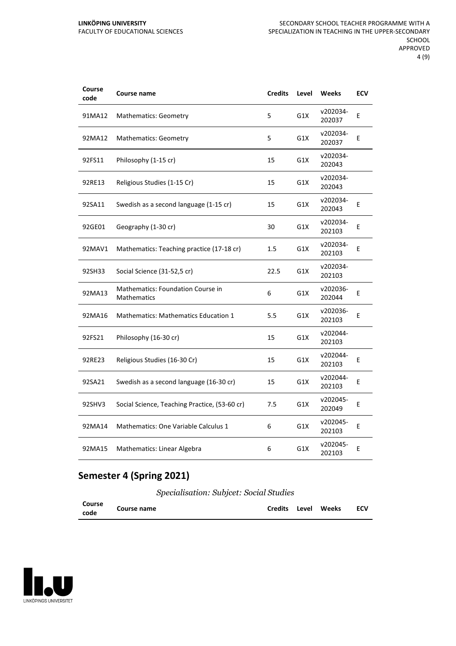#### **LINKÖPING UNIVERSITY** FACULTY OF EDUCATIONAL SCIENCES

| Course<br>code | Course name                                             | <b>Credits</b> | Level | Weeks              | <b>ECV</b> |
|----------------|---------------------------------------------------------|----------------|-------|--------------------|------------|
| 91MA12         | <b>Mathematics: Geometry</b>                            | 5              | G1X   | v202034-<br>202037 | E          |
| 92MA12         | <b>Mathematics: Geometry</b>                            | 5              | G1X   | v202034-<br>202037 | E          |
| 92FS11         | Philosophy (1-15 cr)                                    | 15             | G1X   | v202034-<br>202043 |            |
| 92RE13         | Religious Studies (1-15 Cr)                             | 15             | G1X   | v202034-<br>202043 |            |
| 92SA11         | Swedish as a second language (1-15 cr)                  | 15             | G1X   | v202034-<br>202043 | E          |
| 92GE01         | Geography (1-30 cr)                                     | 30             | G1X   | v202034-<br>202103 | Е          |
| 92MAV1         | Mathematics: Teaching practice (17-18 cr)               | $1.5\,$        | G1X   | v202034-<br>202103 | E          |
| 92SH33         | Social Science (31-52,5 cr)                             | 22.5           | G1X   | v202034-<br>202103 |            |
| 92MA13         | Mathematics: Foundation Course in<br><b>Mathematics</b> | 6              | G1X   | v202036-<br>202044 | Е          |
| 92MA16         | <b>Mathematics: Mathematics Education 1</b>             | 5.5            | G1X   | v202036-<br>202103 | E          |
| 92FS21         | Philosophy (16-30 cr)                                   | 15             | G1X   | v202044-<br>202103 |            |
| 92RE23         | Religious Studies (16-30 Cr)                            | 15             | G1X   | v202044-<br>202103 | E          |
| 92SA21         | Swedish as a second language (16-30 cr)                 | 15             | G1X   | v202044-<br>202103 | E          |
| 92SHV3         | Social Science, Teaching Practice, (53-60 cr)           | 7.5            | G1X   | v202045-<br>202049 | Е          |
| 92MA14         | Mathematics: One Variable Calculus 1                    | 6              | G1X   | v202045-<br>202103 | E          |
| 92MA15         | Mathematics: Linear Algebra                             | 6              | G1X   | v202045-<br>202103 | E          |

## **Semester 4 (Spring 2021)**

*Specialisation: Subjcet: Social Studies*

| Course | Course name |  | Credits Level Weeks | <b>ECV</b> |
|--------|-------------|--|---------------------|------------|
| code   |             |  |                     |            |

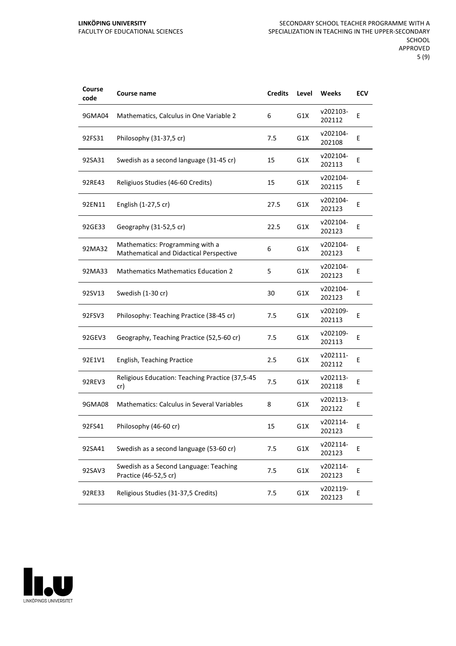| Course<br>code | <b>Course name</b>                                                         | <b>Credits</b> | Level | Weeks              | ECV |
|----------------|----------------------------------------------------------------------------|----------------|-------|--------------------|-----|
| 9GMA04         | Mathematics, Calculus in One Variable 2                                    | 6              | G1X   | v202103-<br>202112 | Ε   |
| 92FS31         | Philosophy (31-37,5 cr)                                                    | 7.5            | G1X   | v202104-<br>202108 | Ε   |
| 92SA31         | Swedish as a second language (31-45 cr)                                    | 15             | G1X   | v202104-<br>202113 | E   |
| 92RE43         | Religiuos Studies (46-60 Credits)                                          | 15             | G1X   | v202104-<br>202115 | E   |
| 92EN11         | English (1-27,5 cr)                                                        | 27.5           | G1X   | v202104-<br>202123 | Ε   |
| 92GE33         | Geography (31-52,5 cr)                                                     | 22.5           | G1X   | v202104-<br>202123 | E   |
| 92MA32         | Mathematics: Programming with a<br>Mathematical and Didactical Perspective | 6              | G1X   | v202104-<br>202123 | Ε   |
| 92MA33         | <b>Mathematics Mathematics Education 2</b>                                 | 5              | G1X   | v202104-<br>202123 | Ε   |
| 92SV13         | Swedish (1-30 cr)                                                          | 30             | G1X   | v202104-<br>202123 | E   |
| 92FSV3         | Philosophy: Teaching Practice (38-45 cr)                                   | 7.5            | G1X   | v202109-<br>202113 | E   |
| 92GEV3         | Geography, Teaching Practice (52,5-60 cr)                                  | 7.5            | G1X   | v202109-<br>202113 | E   |
| 92E1V1         | <b>English, Teaching Practice</b>                                          | 2.5            | G1X   | v202111-<br>202112 | Ε   |
| 92REV3         | Religious Education: Teaching Practice (37,5-45<br>cr)                     | 7.5            | G1X   | v202113-<br>202118 | E   |
| 9GMA08         | <b>Mathematics: Calculus in Several Variables</b>                          | 8              | G1X   | v202113-<br>202122 | E   |
| 92FS41         | Philosophy (46-60 cr)                                                      | 15             | G1X   | v202114-<br>202123 | E   |
| 92SA41         | Swedish as a second language (53-60 cr)                                    | 7.5            | G1X   | v202114-<br>202123 | E   |
| 92SAV3         | Swedish as a Second Language: Teaching<br>Practice (46-52,5 cr)            | 7.5            | G1X   | v202114-<br>202123 | E   |
| 92RE33         | Religious Studies (31-37,5 Credits)                                        | 7.5            | G1X   | v202119-<br>202123 | E   |

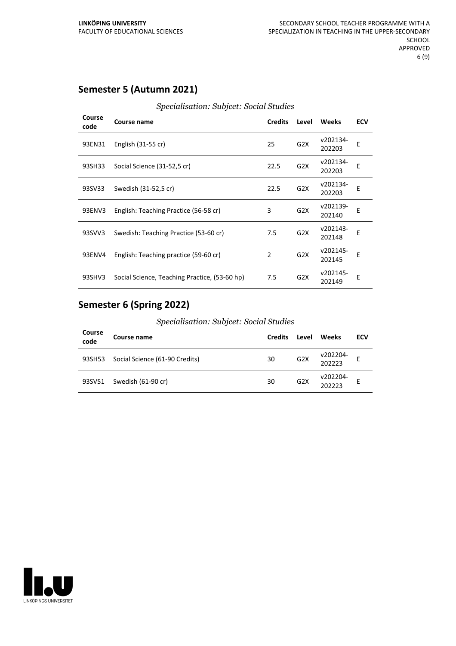## **Semester 5 (Autumn 2021)**

| Specialisation: Subjcet: Social Studies |
|-----------------------------------------|
|-----------------------------------------|

| Course<br>code | Course name                                   | <b>Credits</b> | Level            | Weeks              | <b>ECV</b> |
|----------------|-----------------------------------------------|----------------|------------------|--------------------|------------|
| 93EN31         | English (31-55 cr)                            | 25             | G <sub>2</sub> X | v202134-<br>202203 | Е          |
| 93SH33         | Social Science (31-52,5 cr)                   | 22.5           | G2X              | v202134-<br>202203 | Е          |
| 93SV33         | Swedish (31-52,5 cr)                          | 22.5           | G <sub>2</sub> X | v202134-<br>202203 | E          |
| 93ENV3         | English: Teaching Practice (56-58 cr)         | 3              | G2X              | v202139-<br>202140 | E          |
| 93SVV3         | Swedish: Teaching Practice (53-60 cr)         | 7.5            | G <sub>2</sub> X | v202143-<br>202148 | F          |
| 93ENV4         | English: Teaching practice (59-60 cr)         | 2              | G <sub>2</sub> X | v202145-<br>202145 | E          |
| 93SHV3         | Social Science, Teaching Practice, (53-60 hp) | 7.5            | G <sub>2</sub> X | v202145-<br>202149 | E          |

## **Semester 6 (Spring 2022)**

*Specialisation: Subjcet: Social Studies*

| Course<br>code | Course name                    | <b>Credits</b> | Level | Weeks              | ECV |
|----------------|--------------------------------|----------------|-------|--------------------|-----|
| 93SH53         | Social Science (61-90 Credits) | 30             | G2X   | v202204-<br>202223 |     |
|                | 93SV51 Swedish (61-90 cr)      | 30             | G2X   | v202204-<br>202223 |     |

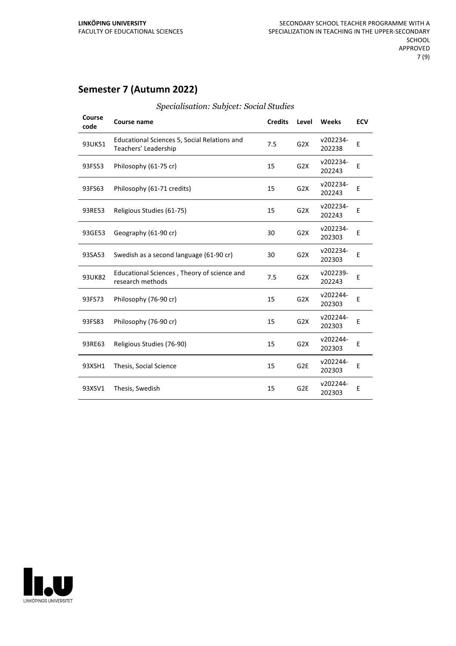## **Semester 7 (Autumn 2022)**

| Course<br>code | Course name                                                          | <b>Credits</b> | Level            | Weeks              | <b>ECV</b> |
|----------------|----------------------------------------------------------------------|----------------|------------------|--------------------|------------|
| 93UK51         | Educational Sciences 5, Social Relations and<br>Teachers' Leadership | 7.5            | G <sub>2</sub> X | v202234-<br>202238 | E          |
| 93FS53         | Philosophy (61-75 cr)                                                | 15             | G2X              | v202234-<br>202243 | E          |
| 93FS63         | Philosophy (61-71 credits)                                           | 15             | G2X              | v202234-<br>202243 | E          |
| 93RE53         | Religious Studies (61-75)                                            | 15             | G2X              | v202234-<br>202243 | E          |
| 93GE53         | Geography (61-90 cr)                                                 | 30             | G <sub>2</sub> X | v202234-<br>202303 | E          |
| 93SA53         | Swedish as a second language (61-90 cr)                              | 30             | G <sub>2</sub> X | v202234-<br>202303 | E          |
| 93UK82         | Educational Sciences, Theory of science and<br>research methods      | 7.5            | G <sub>2</sub> X | v202239-<br>202243 | E          |
| 93FS73         | Philosophy (76-90 cr)                                                | 15             | G2X              | v202244-<br>202303 | E          |
| 93FS83         | Philosophy (76-90 cr)                                                | 15             | G2X              | v202244-<br>202303 | E          |
| 93RE63         | Religious Studies (76-90)                                            | 15             | G2X              | v202244-<br>202303 | E          |
| 93XSH1         | Thesis, Social Science                                               | 15             | G <sub>2E</sub>  | v202244-<br>202303 | Ε          |
| 93XSV1         | Thesis, Swedish                                                      | 15             | G <sub>2E</sub>  | v202244-<br>202303 | E          |

#### *Specialisation: Subjcet: Social Studies*

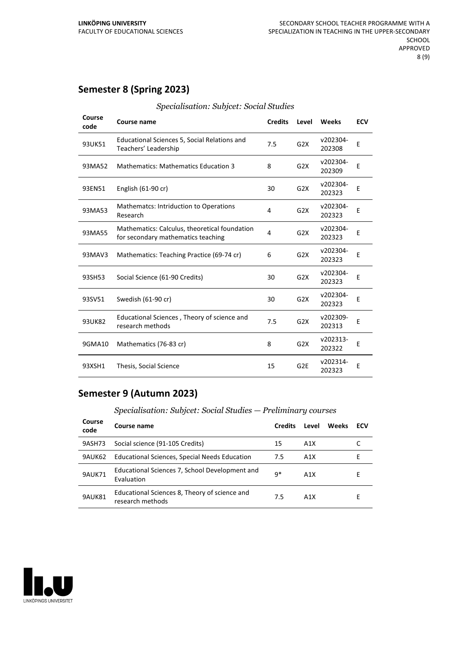## **Semester 8 (Spring 2023)**

| Course<br>code | <b>Course name</b>                                                                  | <b>Credits</b> | Level            | Weeks              | <b>ECV</b> |
|----------------|-------------------------------------------------------------------------------------|----------------|------------------|--------------------|------------|
| 93UK51         | <b>Educational Sciences 5, Social Relations and</b><br>Teachers' Leadership         | 7.5            | G2X              | v202304-<br>202308 | E          |
| 93MA52         | <b>Mathematics: Mathematics Education 3</b>                                         | 8              | G <sub>2</sub> X | v202304-<br>202309 | Е          |
| 93EN51         | English (61-90 cr)                                                                  | 30             | G2X              | v202304-<br>202323 | E          |
| 93MA53         | <b>Mathematcs: Intriduction to Operations</b><br>Research                           | 4              | G2X              | v202304-<br>202323 | E          |
| 93MA55         | Mathematics: Calculus, theoretical foundation<br>for secondary mathematics teaching | 4              | G2X              | v202304-<br>202323 | E          |
| 93MAV3         | Mathematics: Teaching Practice (69-74 cr)                                           | 6              | G2X              | v202304-<br>202323 | E          |
| 93SH53         | Social Science (61-90 Credits)                                                      | 30             | G2X              | v202304-<br>202323 | E          |
| 93SV51         | Swedish (61-90 cr)                                                                  | 30             | G2X              | v202304-<br>202323 | Ε          |
| 93UK82         | Educational Sciences, Theory of science and<br>research methods                     | 7.5            | G2X              | v202309-<br>202313 | Е          |
| 9GMA10         | Mathematics (76-83 cr)                                                              | 8              | G <sub>2</sub> X | v202313-<br>202322 | E          |
| 93XSH1         | Thesis, Social Science                                                              | 15             | G <sub>2E</sub>  | v202314-<br>202323 | E          |

#### *Specialisation: Subjcet: Social Studies*

## **Semester 9 (Autumn 2023)**

*Specialisation: Subjcet: Social Studies — Preliminary courses*

| Course<br>code | Course name                                                       | <b>Credits</b> | Level | Weeks | ECV |
|----------------|-------------------------------------------------------------------|----------------|-------|-------|-----|
| 9ASH73         | Social science (91-105 Credits)                                   | 15             | A1X   |       |     |
| 9AUK62         | Educational Sciences, Special Needs Education                     | 7.5            | A1X   |       | F.  |
| <b>9AUK71</b>  | Educational Sciences 7, School Development and<br>Evaluation      | q*             | A1X   |       | H.  |
| 9AUK81         | Educational Sciences 8, Theory of science and<br>research methods | 7.5            | A1X   |       | F.  |